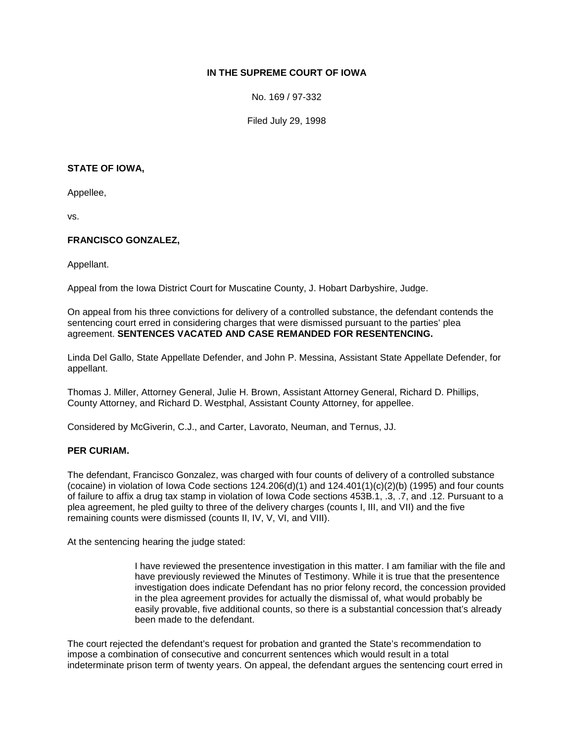# **IN THE SUPREME COURT OF IOWA**

No. 169 / 97-332

Filed July 29, 1998

### **STATE OF IOWA,**

Appellee,

vs.

## **FRANCISCO GONZALEZ,**

Appellant.

Appeal from the Iowa District Court for Muscatine County, J. Hobart Darbyshire, Judge.

On appeal from his three convictions for delivery of a controlled substance, the defendant contends the sentencing court erred in considering charges that were dismissed pursuant to the parties' plea agreement. **SENTENCES VACATED AND CASE REMANDED FOR RESENTENCING.**

Linda Del Gallo, State Appellate Defender, and John P. Messina, Assistant State Appellate Defender, for appellant.

Thomas J. Miller, Attorney General, Julie H. Brown, Assistant Attorney General, Richard D. Phillips, County Attorney, and Richard D. Westphal, Assistant County Attorney, for appellee.

Considered by McGiverin, C.J., and Carter, Lavorato, Neuman, and Ternus, JJ.

#### **PER CURIAM.**

The defendant, Francisco Gonzalez, was charged with four counts of delivery of a controlled substance (cocaine) in violation of Iowa Code sections  $124.206(d)(1)$  and  $124.401(1)(c)(2)(b)$  (1995) and four counts of failure to affix a drug tax stamp in violation of Iowa Code sections 453B.1, .3, .7, and .12. Pursuant to a plea agreement, he pled guilty to three of the delivery charges (counts I, III, and VII) and the five remaining counts were dismissed (counts II, IV, V, VI, and VIII).

At the sentencing hearing the judge stated:

I have reviewed the presentence investigation in this matter. I am familiar with the file and have previously reviewed the Minutes of Testimony. While it is true that the presentence investigation does indicate Defendant has no prior felony record, the concession provided in the plea agreement provides for actually the dismissal of, what would probably be easily provable, five additional counts, so there is a substantial concession that's already been made to the defendant.

The court rejected the defendant's request for probation and granted the State's recommendation to impose a combination of consecutive and concurrent sentences which would result in a total indeterminate prison term of twenty years. On appeal, the defendant argues the sentencing court erred in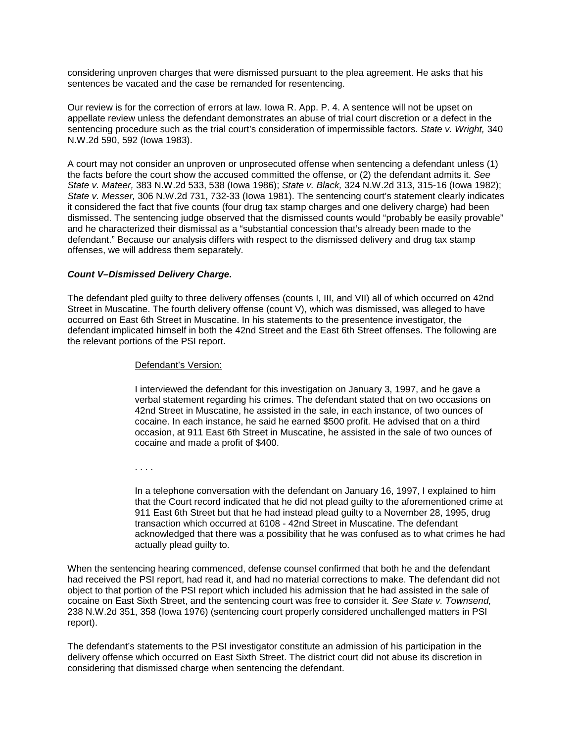considering unproven charges that were dismissed pursuant to the plea agreement. He asks that his sentences be vacated and the case be remanded for resentencing.

Our review is for the correction of errors at law. Iowa R. App. P. 4. A sentence will not be upset on appellate review unless the defendant demonstrates an abuse of trial court discretion or a defect in the sentencing procedure such as the trial court's consideration of impermissible factors. *State v. Wright,* 340 N.W.2d 590, 592 (Iowa 1983).

A court may not consider an unproven or unprosecuted offense when sentencing a defendant unless (1) the facts before the court show the accused committed the offense, or (2) the defendant admits it. *See State v. Mateer,* 383 N.W.2d 533, 538 (Iowa 1986); *State v. Black,* 324 N.W.2d 313, 315-16 (Iowa 1982); *State v. Messer,* 306 N.W.2d 731, 732-33 (Iowa 1981). The sentencing court's statement clearly indicates it considered the fact that five counts (four drug tax stamp charges and one delivery charge) had been dismissed. The sentencing judge observed that the dismissed counts would "probably be easily provable" and he characterized their dismissal as a "substantial concession that's already been made to the defendant." Because our analysis differs with respect to the dismissed delivery and drug tax stamp offenses, we will address them separately.

### *Count V–Dismissed Delivery Charge.*

The defendant pled guilty to three delivery offenses (counts I, III, and VII) all of which occurred on 42nd Street in Muscatine. The fourth delivery offense (count V), which was dismissed, was alleged to have occurred on East 6th Street in Muscatine. In his statements to the presentence investigator, the defendant implicated himself in both the 42nd Street and the East 6th Street offenses. The following are the relevant portions of the PSI report.

#### Defendant's Version:

I interviewed the defendant for this investigation on January 3, 1997, and he gave a verbal statement regarding his crimes. The defendant stated that on two occasions on 42nd Street in Muscatine, he assisted in the sale, in each instance, of two ounces of cocaine. In each instance, he said he earned \$500 profit. He advised that on a third occasion, at 911 East 6th Street in Muscatine, he assisted in the sale of two ounces of cocaine and made a profit of \$400.

. . . .

In a telephone conversation with the defendant on January 16, 1997, I explained to him that the Court record indicated that he did not plead guilty to the aforementioned crime at 911 East 6th Street but that he had instead plead guilty to a November 28, 1995, drug transaction which occurred at 6108 - 42nd Street in Muscatine. The defendant acknowledged that there was a possibility that he was confused as to what crimes he had actually plead guilty to.

When the sentencing hearing commenced, defense counsel confirmed that both he and the defendant had received the PSI report, had read it, and had no material corrections to make. The defendant did not object to that portion of the PSI report which included his admission that he had assisted in the sale of cocaine on East Sixth Street, and the sentencing court was free to consider it. *See State v. Townsend,*  238 N.W.2d 351, 358 (Iowa 1976) (sentencing court properly considered unchallenged matters in PSI report).

The defendant's statements to the PSI investigator constitute an admission of his participation in the delivery offense which occurred on East Sixth Street. The district court did not abuse its discretion in considering that dismissed charge when sentencing the defendant.